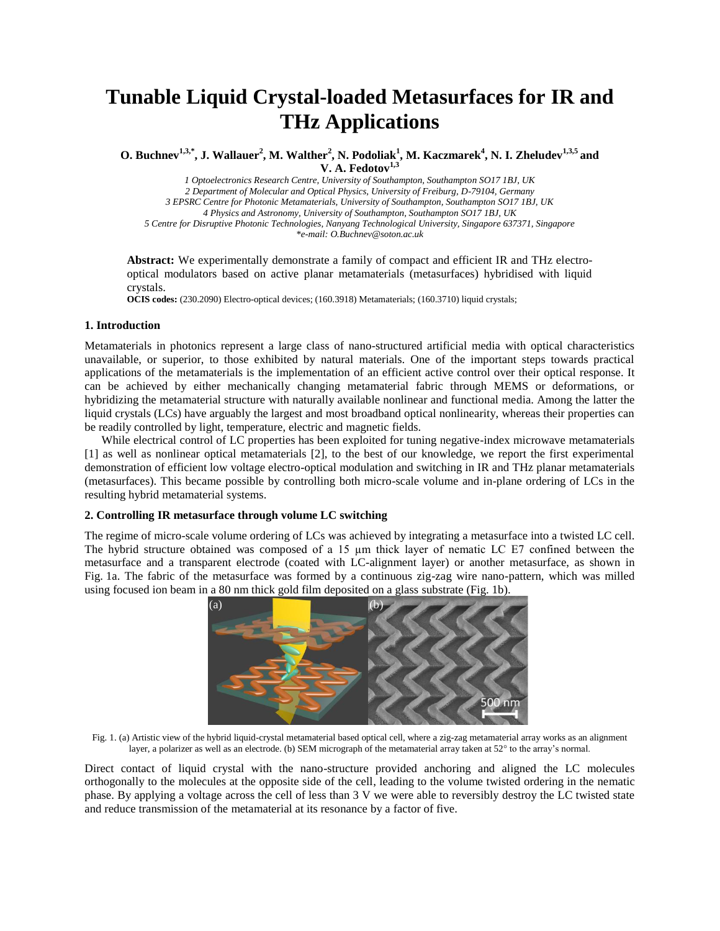# **Tunable Liquid Crystal-loaded Metasurfaces for IR and THz Applications**

**O. Buchnev1,3,\*, J. Wallauer<sup>2</sup> , M. Walther<sup>2</sup> , N. Podoliak<sup>1</sup> , M. Kaczmarek<sup>4</sup> , N. I. Zheludev1,3,5 and V. A. Fedotov1,3**

*1 Optoelectronics Research Centre, University of Southampton, Southampton SO17 1BJ, UK 2 Department of Molecular and Optical Physics, University of Freiburg, D-79104, Germany 3 EPSRC Centre for Photonic Metamaterials, University of Southampton, Southampton SO17 1BJ, UK 4 Physics and Astronomy, University of Southampton, Southampton SO17 1BJ, UK 5 Centre for Disruptive Photonic Technologies, Nanyang Technological University, Singapore 637371, Singapore \*e-mail: O.Buchnev@soton.ac.uk*

**Abstract:** We experimentally demonstrate a family of compact and efficient IR and THz electrooptical modulators based on active planar metamaterials (metasurfaces) hybridised with liquid crystals.

**OCIS codes:** (230.2090) Electro-optical devices; (160.3918) Metamaterials; (160.3710) liquid crystals;

# **1. Introduction**

Metamaterials in photonics represent a large class of nano-structured artificial media with optical characteristics unavailable, or superior, to those exhibited by natural materials. One of the important steps towards practical applications of the metamaterials is the implementation of an efficient active control over their optical response. It can be achieved by either mechanically changing metamaterial fabric through MEMS or deformations, or hybridizing the metamaterial structure with naturally available nonlinear and functional media. Among the latter the liquid crystals (LCs) have arguably the largest and most broadband optical nonlinearity, whereas their properties can be readily controlled by light, temperature, electric and magnetic fields.

While electrical control of LC properties has been exploited for tuning negative-index microwave metamaterials [1] as well as nonlinear optical metamaterials [2], to the best of our knowledge, we report the first experimental demonstration of efficient low voltage electro-optical modulation and switching in IR and THz planar metamaterials (metasurfaces). This became possible by controlling both micro-scale volume and in-plane ordering of LCs in the resulting hybrid metamaterial systems.

# **2. Controlling IR metasurface through volume LC switching**

The regime of micro-scale volume ordering of LCs was achieved by integrating a metasurface into a twisted LC cell. The hybrid structure obtained was composed of a 15 µm thick layer of nematic LC E7 confined between the metasurface and a transparent electrode (coated with LC-alignment layer) or another metasurface, as shown in Fig. 1a. The fabric of the metasurface was formed by a continuous zig-zag wire nano-pattern, which was milled using focused ion beam in a 80 nm thick gold film deposited on a glass substrate (Fig. 1b).



Fig. 1. (a) Artistic view of the hybrid liquid-crystal metamaterial based optical cell, where a zig-zag metamaterial array works as an alignment layer, a polarizer as well as an electrode. (b) SEM micrograph of the metamaterial array taken at  $52^{\circ}$  to the array's normal.

Direct contact of liquid crystal with the nano-structure provided anchoring and aligned the LC molecules orthogonally to the molecules at the opposite side of the cell, leading to the volume twisted ordering in the nematic phase. By applying a voltage across the cell of less than 3 V we were able to reversibly destroy the LC twisted state and reduce transmission of the metamaterial at its resonance by a factor of five.